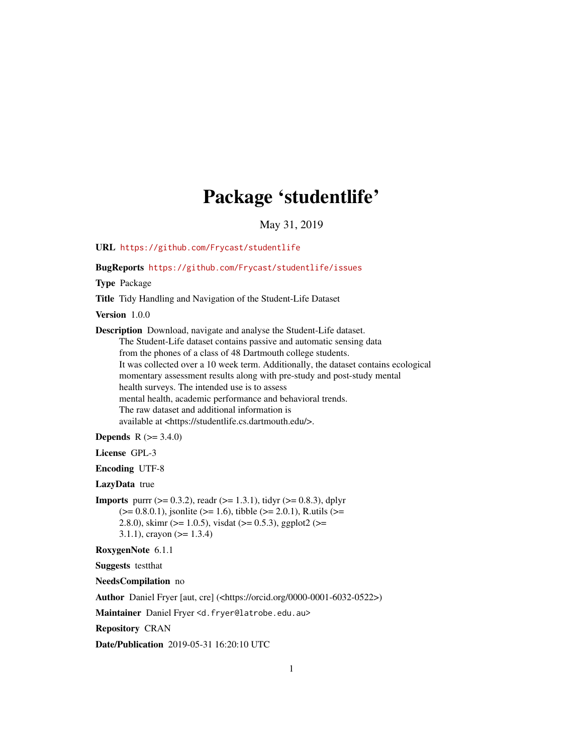# Package 'studentlife'

May 31, 2019

<span id="page-0-0"></span>URL <https://github.com/Frycast/studentlife>

BugReports <https://github.com/Frycast/studentlife/issues>

Type Package

Title Tidy Handling and Navigation of the Student-Life Dataset

Version 1.0.0

Description Download, navigate and analyse the Student-Life dataset. The Student-Life dataset contains passive and automatic sensing data from the phones of a class of 48 Dartmouth college students.

It was collected over a 10 week term. Additionally, the dataset contains ecological momentary assessment results along with pre-study and post-study mental health surveys. The intended use is to assess

mental health, academic performance and behavioral trends. The raw dataset and additional information is available at <https://studentlife.cs.dartmouth.edu/>.

**Depends** R  $(>= 3.4.0)$ 

License GPL-3

Encoding UTF-8

LazyData true

**Imports** purrr ( $>= 0.3.2$ ), readr ( $>= 1.3.1$ ), tidyr ( $>= 0.8.3$ ), dplyr  $(>= 0.8.0.1)$ , jsonlite ( $>= 1.6$ ), tibble ( $>= 2.0.1$ ), R.utils ( $>= 1.6$ ) 2.8.0), skimr ( $>= 1.0.5$ ), visdat ( $>= 0.5.3$ ), ggplot2 ( $>=$ 3.1.1), crayon ( $> = 1.3.4$ )

RoxygenNote 6.1.1

Suggests testthat

NeedsCompilation no

Author Daniel Fryer [aut, cre] (<https://orcid.org/0000-0001-6032-0522>)

Maintainer Daniel Fryer <d.fryer@latrobe.edu.au>

Repository CRAN

Date/Publication 2019-05-31 16:20:10 UTC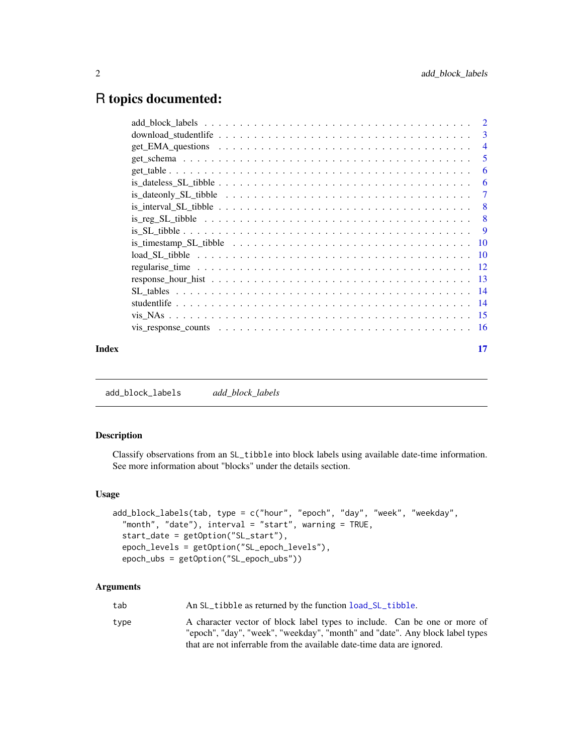# <span id="page-1-0"></span>R topics documented:

|       | -6  |
|-------|-----|
|       | - 6 |
|       |     |
|       |     |
|       |     |
|       |     |
|       |     |
|       |     |
|       |     |
|       |     |
|       |     |
|       |     |
|       |     |
|       |     |
| Index | 17  |

<span id="page-1-1"></span>add\_block\_labels *add\_block\_labels*

# Description

Classify observations from an SL\_tibble into block labels using available date-time information. See more information about "blocks" under the details section.

# Usage

```
add_block_labels(tab, type = c("hour", "epoch", "day", "week", "weekday",
  "month", "date"), interval = "start", warning = TRUE,
  start_date = getOption("SL_start"),
  epoch_levels = getOption("SL_epoch_levels"),
  epoch_ubs = getOption("SL_epoch_ubs"))
```
# Arguments

| tab<br>An SL_tibble as returned by the function load_SL_tibble.                                                                                                                                                                             |  |
|---------------------------------------------------------------------------------------------------------------------------------------------------------------------------------------------------------------------------------------------|--|
| A character vector of block label types to include. Can be one or more of<br>type<br>"epoch", "day", "week", "weekday", "month" and "date". Any block label types<br>that are not inferrable from the available date-time data are ignored. |  |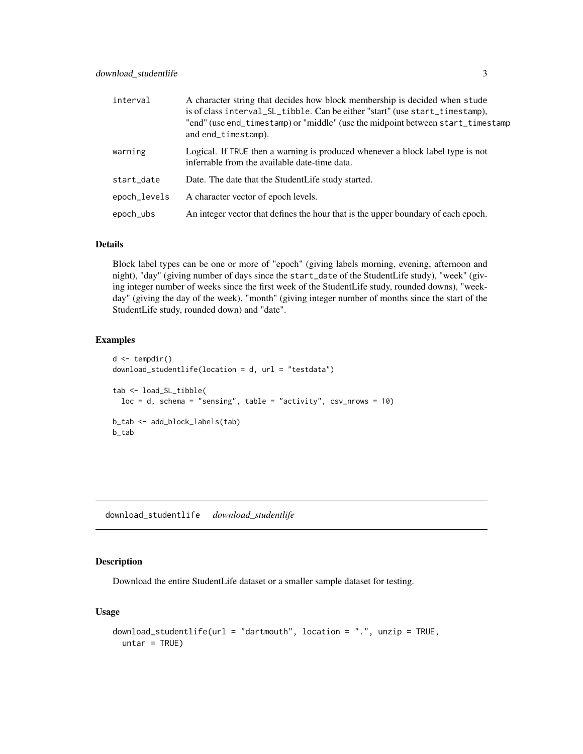<span id="page-2-0"></span>

| interval     | A character string that decides how block membership is decided when stude<br>is of class interval_SL_tibble. Can be either "start" (use start_timestamp),<br>"end" (use end_timestamp) or "middle" (use the midpoint between start_timestamp<br>and end_timestamp). |
|--------------|----------------------------------------------------------------------------------------------------------------------------------------------------------------------------------------------------------------------------------------------------------------------|
| warning      | Logical. If TRUE then a warning is produced whenever a block label type is not<br>inferrable from the available date-time data.                                                                                                                                      |
| start_date   | Date. The date that the StudentLife study started.                                                                                                                                                                                                                   |
| epoch_levels | A character vector of epoch levels.                                                                                                                                                                                                                                  |
| epoch_ubs    | An integer vector that defines the hour that is the upper boundary of each epoch.                                                                                                                                                                                    |

#### Details

Block label types can be one or more of "epoch" (giving labels morning, evening, afternoon and night), "day" (giving number of days since the start\_date of the StudentLife study), "week" (giving integer number of weeks since the first week of the StudentLife study, rounded downs), "weekday" (giving the day of the week), "month" (giving integer number of months since the start of the StudentLife study, rounded down) and "date".

# Examples

```
d \leftarrow tempdir()download_studentlife(location = d, url = "testdata")
tab <- load_SL_tibble(
  loc = d, schema = "sensing", table = "activity", csv_nrows = 10)
b_tab <- add_block_labels(tab)
b_tab
```
download\_studentlife *download\_studentlife*

#### Description

Download the entire StudentLife dataset or a smaller sample dataset for testing.

#### Usage

```
download_studentlife(url = "dartmouth", location = ".", unzip = TRUE,
 untar = TRUE)
```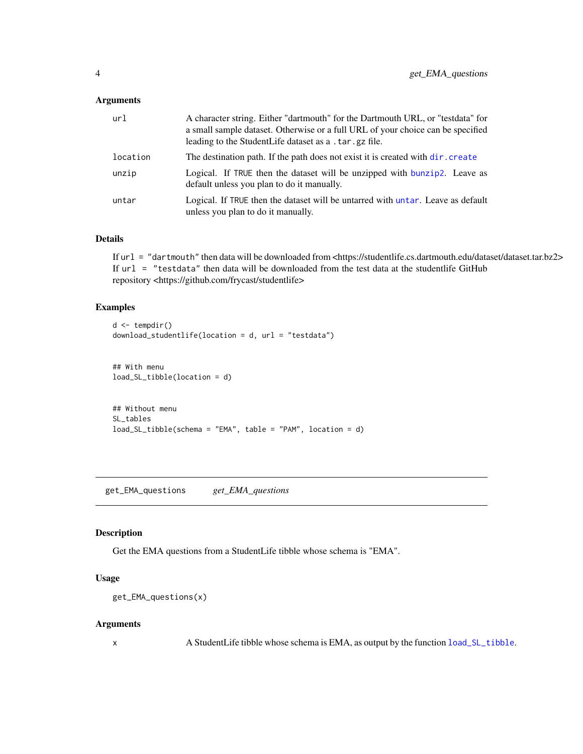#### <span id="page-3-0"></span>Arguments

| url      | A character string. Either "dartmouth" for the Dartmouth URL, or "testdata" for<br>a small sample dataset. Otherwise or a full URL of your choice can be specified<br>leading to the StudentLife dataset as a . tar. gz file. |
|----------|-------------------------------------------------------------------------------------------------------------------------------------------------------------------------------------------------------------------------------|
| location | The destination path. If the path does not exist it is created with dir. create                                                                                                                                               |
| unzip    | Logical. If TRUE then the dataset will be unzipped with bunzip 2. Leave as<br>default unless you plan to do it manually.                                                                                                      |
| untar    | Logical. If TRUE then the dataset will be untarred with untar. Leave as default<br>unless you plan to do it manually.                                                                                                         |

#### Details

If url = "dartmouth" then data will be downloaded from <https://studentlife.cs.dartmouth.edu/dataset/dataset.tar.bz2> If url = "testdata" then data will be downloaded from the test data at the studentlife GitHub repository <https://github.com/frycast/studentlife>

# Examples

```
d <- tempdir()
download_studentlife(location = d, url = "testdata")
## With menu
load_SL_tibble(location = d)
## Without menu
SL_tables
load_SL_tibble(schema = "EMA", table = "PAM", location = d)
```
get\_EMA\_questions *get\_EMA\_questions*

# Description

Get the EMA questions from a StudentLife tibble whose schema is "EMA".

#### Usage

```
get_EMA_questions(x)
```
# Arguments

x A StudentLife tibble whose schema is EMA, as output by the function [load\\_SL\\_tibble](#page-9-1).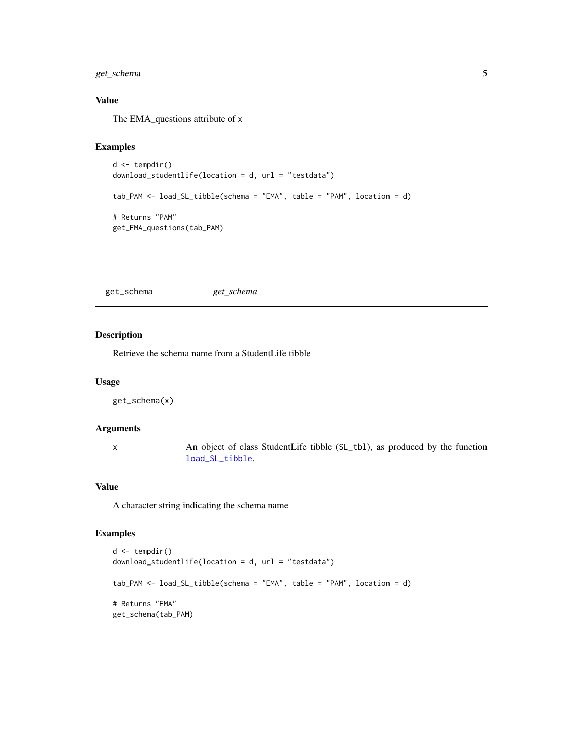# <span id="page-4-0"></span>get\_schema 5

# Value

The EMA\_questions attribute of x

# Examples

```
d <- tempdir()
download_studentlife(location = d, url = "testdata")
tab_PAM <- load_SL_tibble(schema = "EMA", table = "PAM", location = d)
# Returns "PAM"
get_EMA_questions(tab_PAM)
```
get\_schema *get\_schema*

# Description

Retrieve the schema name from a StudentLife tibble

### Usage

get\_schema(x)

# Arguments

x An object of class StudentLife tibble (SL\_tbl), as produced by the function [load\\_SL\\_tibble](#page-9-1).

# Value

A character string indicating the schema name

```
d <- tempdir()
download_studentlife(location = d, url = "testdata")
tab_PAM <- load_SL_tibble(schema = "EMA", table = "PAM", location = d)
# Returns "EMA"
get_schema(tab_PAM)
```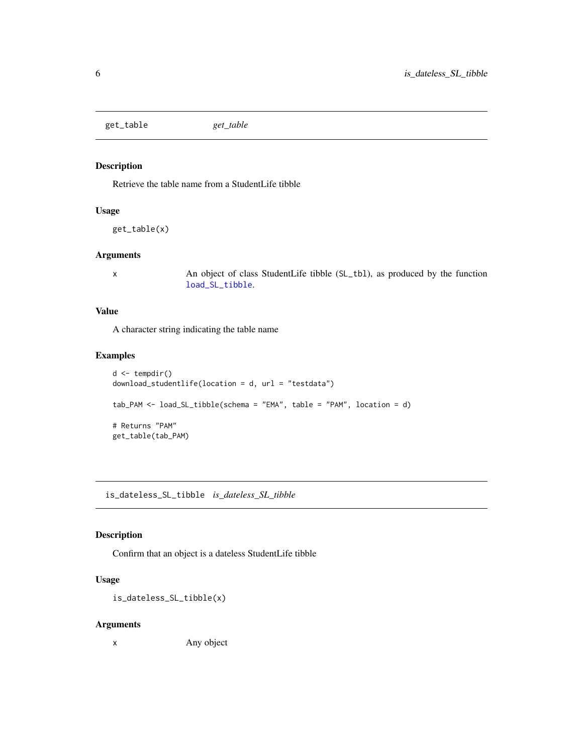<span id="page-5-0"></span>get\_table *get\_table*

# Description

Retrieve the table name from a StudentLife tibble

# Usage

get\_table(x)

#### Arguments

x An object of class StudentLife tibble (SL\_tbl), as produced by the function [load\\_SL\\_tibble](#page-9-1).

### Value

A character string indicating the table name

# Examples

```
d <- tempdir()
download_studentlife(location = d, url = "testdata")
tab_PAM <- load_SL_tibble(schema = "EMA", table = "PAM", location = d)
# Returns "PAM"
get_table(tab_PAM)
```
is\_dateless\_SL\_tibble *is\_dateless\_SL\_tibble*

### Description

Confirm that an object is a dateless StudentLife tibble

#### Usage

is\_dateless\_SL\_tibble(x)

#### Arguments

x Any object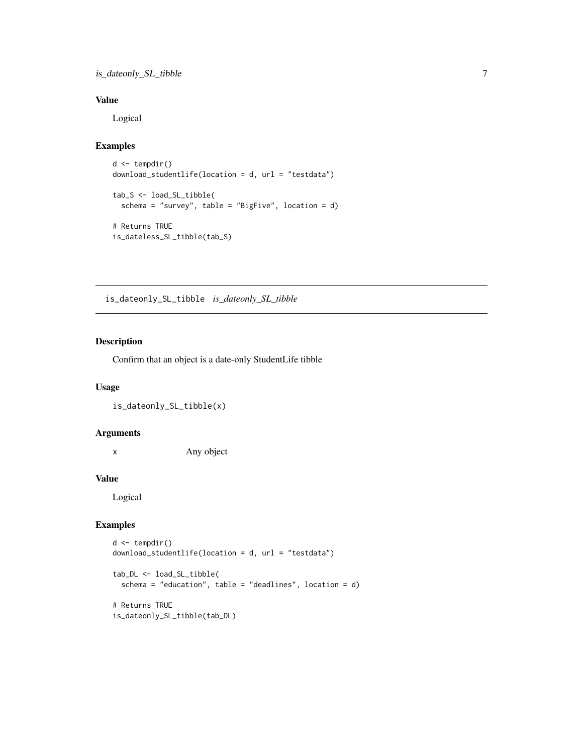# <span id="page-6-0"></span>is\_dateonly\_SL\_tibble 7

# Value

Logical

# Examples

```
d \leftarrow tempdir()download_studentlife(location = d, url = "testdata")
tab_S <- load_SL_tibble(
  schema = "survey", table = "BigFive", location = d)
# Returns TRUE
is_dateless_SL_tibble(tab_S)
```
is\_dateonly\_SL\_tibble *is\_dateonly\_SL\_tibble*

# Description

Confirm that an object is a date-only StudentLife tibble

# Usage

is\_dateonly\_SL\_tibble(x)

#### Arguments

x Any object

## Value

Logical

```
d \leftarrow \text{tempdir}()download_studentlife(location = d, url = "testdata")
```

```
tab_DL <- load_SL_tibble(
  schema = "education", table = "deadlines", location = d)
# Returns TRUE
is_dateonly_SL_tibble(tab_DL)
```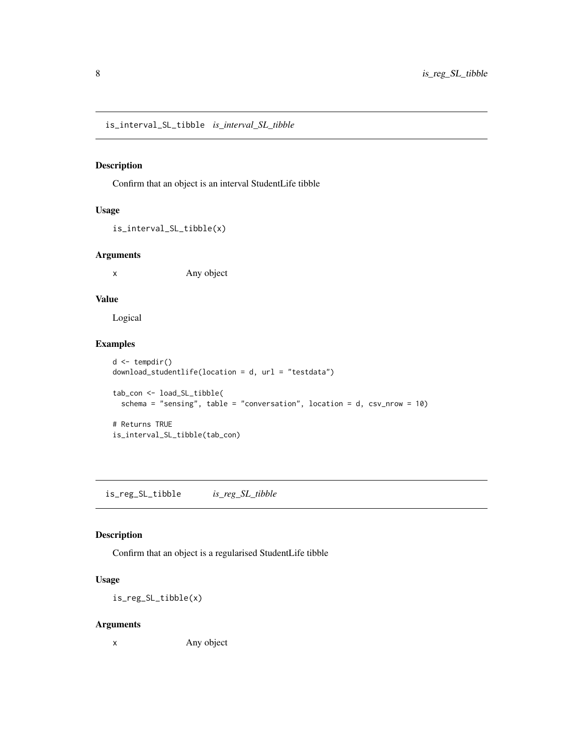<span id="page-7-0"></span>is\_interval\_SL\_tibble *is\_interval\_SL\_tibble*

# Description

Confirm that an object is an interval StudentLife tibble

# Usage

is\_interval\_SL\_tibble(x)

#### Arguments

x Any object

### Value

Logical

#### Examples

```
d <- tempdir()
download_studentlife(location = d, url = "testdata")
tab_con <- load_SL_tibble(
  schema = "sensing", table = "conversation", location = d, csv_nrow = 10)
# Returns TRUE
is_interval_SL_tibble(tab_con)
```
is\_reg\_SL\_tibble *is\_reg\_SL\_tibble*

### Description

Confirm that an object is a regularised StudentLife tibble

#### Usage

is\_reg\_SL\_tibble(x)

#### Arguments

x Any object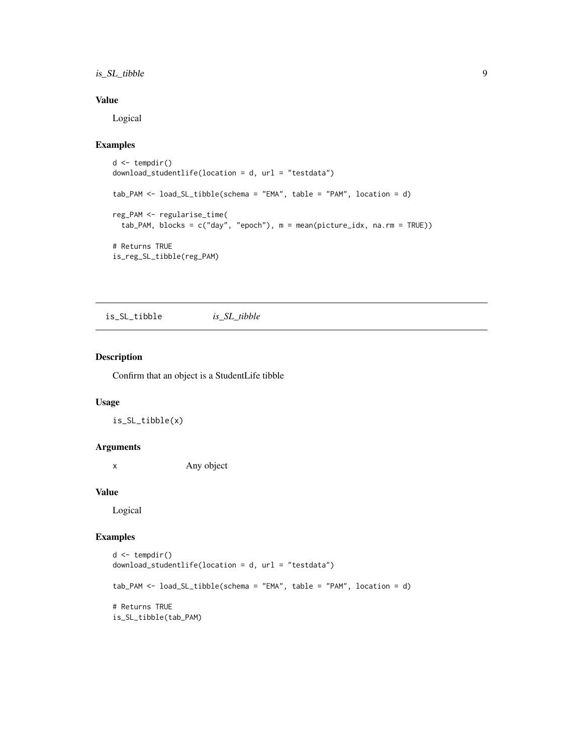# <span id="page-8-0"></span>is\_SL\_tibble 9

# Value

Logical

# Examples

```
d <- tempdir()
download_studentlife(location = d, url = "testdata")
tab_PAM <- load_SL_tibble(schema = "EMA", table = "PAM", location = d)
reg_PAM <- regularise_time(
  tab_PAM, blocks = c("day", "epoch"), m = mean(picture_idx, na.rm = TRUE))
# Returns TRUE
is_reg_SL_tibble(reg_PAM)
```
is\_SL\_tibble *is\_SL\_tibble*

#### Description

Confirm that an object is a StudentLife tibble

# Usage

is\_SL\_tibble(x)

#### Arguments

x Any object

#### Value

Logical

```
d <- tempdir()
download_studentlife(location = d, url = "testdata")
tab_PAM <- load_SL_tibble(schema = "EMA", table = "PAM", location = d)
# Returns TRUE
is_SL_tibble(tab_PAM)
```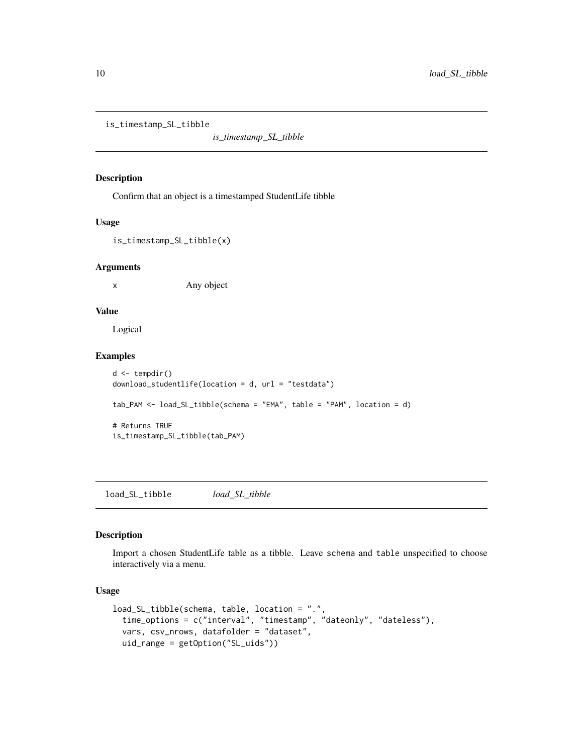<span id="page-9-0"></span>is\_timestamp\_SL\_tibble

*is\_timestamp\_SL\_tibble*

#### Description

Confirm that an object is a timestamped StudentLife tibble

#### Usage

is\_timestamp\_SL\_tibble(x)

# Arguments

x Any object

# Value

Logical

# Examples

```
d <- tempdir()
download_studentlife(location = d, url = "testdata")
tab_PAM <- load_SL_tibble(schema = "EMA", table = "PAM", location = d)
# Returns TRUE
is_timestamp_SL_tibble(tab_PAM)
```
<span id="page-9-1"></span>load\_SL\_tibble *load\_SL\_tibble*

### Description

Import a chosen StudentLife table as a tibble. Leave schema and table unspecified to choose interactively via a menu.

# Usage

```
load_SL_tibble(schema, table, location = ".",
  time_options = c("interval", "timestamp", "dateonly", "dateless"),
  vars, csv_nrows, datafolder = "dataset",
  uid_range = getOption("SL_uids"))
```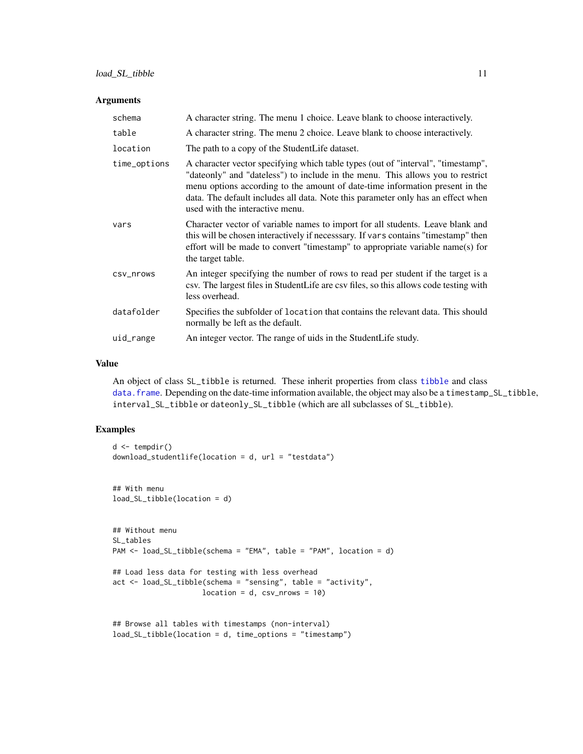#### <span id="page-10-0"></span>Arguments

| schema       | A character string. The menu 1 choice. Leave blank to choose interactively.                                                                                                                                                                                                                                                                                                |
|--------------|----------------------------------------------------------------------------------------------------------------------------------------------------------------------------------------------------------------------------------------------------------------------------------------------------------------------------------------------------------------------------|
| table        | A character string. The menu 2 choice. Leave blank to choose interactively.                                                                                                                                                                                                                                                                                                |
| location     | The path to a copy of the StudentLife dataset.                                                                                                                                                                                                                                                                                                                             |
| time_options | A character vector specifying which table types (out of "interval", "timestamp",<br>"date only" and "dateless") to include in the menu. This allows you to restrict<br>menu options according to the amount of date-time information present in the<br>data. The default includes all data. Note this parameter only has an effect when<br>used with the interactive menu. |
| vars         | Character vector of variable names to import for all students. Leave blank and<br>this will be chosen interactively if necesssary. If vars contains "timestamp" then<br>effort will be made to convert "timestamp" to appropriate variable name(s) for<br>the target table.                                                                                                |
| CSV_Nrows    | An integer specifying the number of rows to read per student if the target is a<br>csv. The largest files in StudentLife are csv files, so this allows code testing with<br>less overhead.                                                                                                                                                                                 |
| datafolder   | Specifies the subfolder of location that contains the relevant data. This should<br>normally be left as the default.                                                                                                                                                                                                                                                       |
| uid_range    | An integer vector. The range of uids in the StudentLife study.                                                                                                                                                                                                                                                                                                             |

# Value

An object of class SL\_tibble is returned. These inherit properties from class [tibble](#page-0-0) and class [data.frame](#page-0-0). Depending on the date-time information available, the object may also be a timestamp\_SL\_tibble, interval\_SL\_tibble or dateonly\_SL\_tibble (which are all subclasses of SL\_tibble).

```
d \leftarrow tempdir()download_studentlife(location = d, url = "testdata")
## With menu
load_SL_tibble(location = d)
## Without menu
SL_tables
PAM <- load_SL_tibble(schema = "EMA", table = "PAM", location = d)
## Load less data for testing with less overhead
act <- load_SL_tibble(schema = "sensing", table = "activity",
                     location = d, \ csv_nrows = 10)## Browse all tables with timestamps (non-interval)
```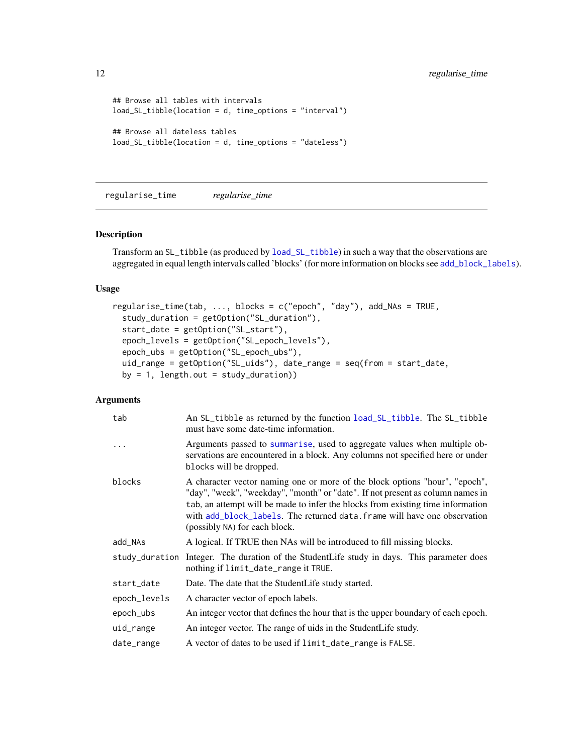```
## Browse all tables with intervals
load_SL_tibble(location = d, time_options = "interval")
## Browse all dateless tables
load_SL_tibble(location = d, time_options = "dateless")
```
<span id="page-11-1"></span>regularise\_time *regularise\_time*

#### Description

Transform an SL\_tibble (as produced by [load\\_SL\\_tibble](#page-9-1)) in such a way that the observations are aggregated in equal length intervals called 'blocks' (for more information on blocks see [add\\_block\\_labels](#page-1-1)).

#### Usage

```
regularise_time(tab, ..., blocks = c("epoch", "day"), add_NAs = TRUE,
  study_duration = getOption("SL_duration"),
  start_date = getOption("SL_start"),
  epoch_levels = getOption("SL_epoch_levels"),
 epoch_ubs = getOption("SL_epoch_ubs"),
 uid_range = getOption("SL_uids"), date_range = seq(from = start_date,
 by = 1, length.out = study_duration))
```
#### Arguments

| tab          | An SL_tibble as returned by the function load_SL_tibble. The SL_tibble<br>must have some date-time information.                                                                                                                                                                                                                                                |
|--------------|----------------------------------------------------------------------------------------------------------------------------------------------------------------------------------------------------------------------------------------------------------------------------------------------------------------------------------------------------------------|
|              | Arguments passed to summarise, used to aggregate values when multiple ob-<br>servations are encountered in a block. Any columns not specified here or under<br>blocks will be dropped.                                                                                                                                                                         |
| blocks       | A character vector naming one or more of the block options "hour", "epoch",<br>"day", "week", "weekday", "month" or "date". If not present as column names in<br>tab, an attempt will be made to infer the blocks from existing time information<br>with add_block_labels. The returned data. frame will have one observation<br>(possibly NA) for each block. |
| add_NAs      | A logical. If TRUE then NAs will be introduced to fill missing blocks.                                                                                                                                                                                                                                                                                         |
|              | study_duration Integer. The duration of the StudentLife study in days. This parameter does<br>nothing if limit_date_range it TRUE.                                                                                                                                                                                                                             |
| start_date   | Date. The date that the StudentLife study started.                                                                                                                                                                                                                                                                                                             |
| epoch_levels | A character vector of epoch labels.                                                                                                                                                                                                                                                                                                                            |
| epoch_ubs    | An integer vector that defines the hour that is the upper boundary of each epoch.                                                                                                                                                                                                                                                                              |
| uid_range    | An integer vector. The range of uids in the StudentLife study.                                                                                                                                                                                                                                                                                                 |
| date_range   | A vector of dates to be used if limit_date_range is FALSE.                                                                                                                                                                                                                                                                                                     |

<span id="page-11-0"></span>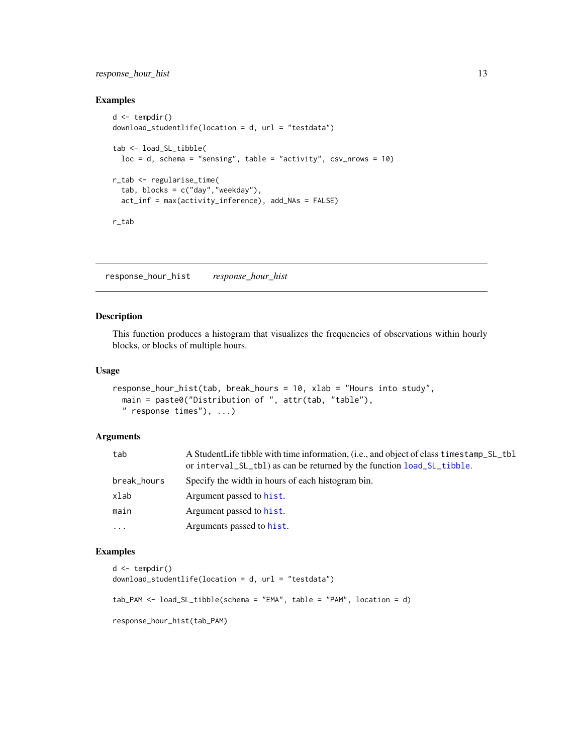# <span id="page-12-0"></span>response\_hour\_hist 13

# Examples

```
d \leftarrow tempdir()download_studentlife(location = d, url = "testdata")
tab <- load_SL_tibble(
  loc = d, schema = "sensing", table = "activity", csv_nrows = 10)
r_tab <- regularise_time(
  tab, blocks = c("day", "weekday"),
  act_inf = max(activity_inference), add_NAs = FALSE)
r_tab
```
response\_hour\_hist *response\_hour\_hist*

#### Description

This function produces a histogram that visualizes the frequencies of observations within hourly blocks, or blocks of multiple hours.

#### Usage

```
response_hour_hist(tab, break_hours = 10, xlab = "Hours into study",
 main = paste0("Distribution of ", attr(tab, "table"),
 " response times"), ...)
```
#### Arguments

| tab         | A StudentLife tibble with time information, (i.e., and object of class timestamp_SL_tbl<br>or interval_SL_tbl) as can be returned by the function load_SL_tibble. |
|-------------|-------------------------------------------------------------------------------------------------------------------------------------------------------------------|
| break_hours | Specify the width in hours of each histogram bin.                                                                                                                 |
| xlab        | Argument passed to hist.                                                                                                                                          |
| main        | Argument passed to hist.                                                                                                                                          |
| .           | Arguments passed to hist.                                                                                                                                         |
|             |                                                                                                                                                                   |

```
d \leftarrow tempdir()download_studentlife(location = d, url = "testdata")
tab_PAM <- load_SL_tibble(schema = "EMA", table = "PAM", location = d)
response_hour_hist(tab_PAM)
```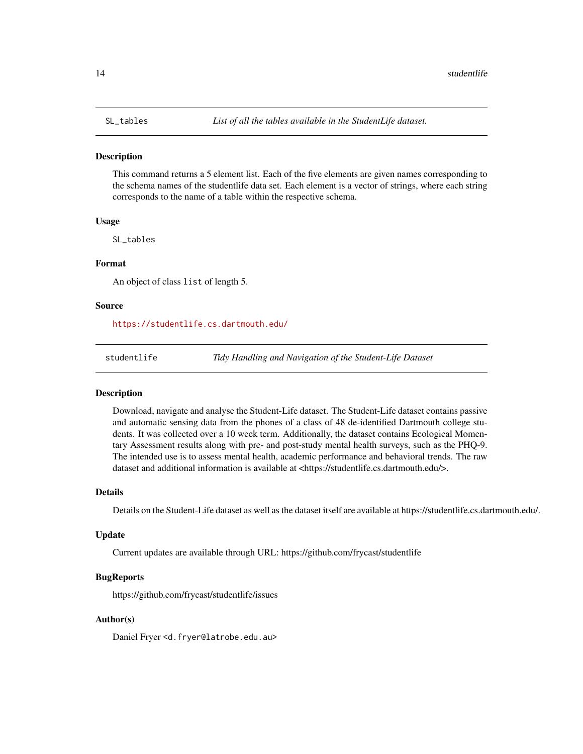#### <span id="page-13-0"></span>**Description**

This command returns a 5 element list. Each of the five elements are given names corresponding to the schema names of the studentlife data set. Each element is a vector of strings, where each string corresponds to the name of a table within the respective schema.

#### Usage

SL\_tables

#### Format

An object of class list of length 5.

#### Source

<https://studentlife.cs.dartmouth.edu/>

studentlife *Tidy Handling and Navigation of the Student-Life Dataset*

### **Description**

Download, navigate and analyse the Student-Life dataset. The Student-Life dataset contains passive and automatic sensing data from the phones of a class of 48 de-identified Dartmouth college students. It was collected over a 10 week term. Additionally, the dataset contains Ecological Momentary Assessment results along with pre- and post-study mental health surveys, such as the PHQ-9. The intended use is to assess mental health, academic performance and behavioral trends. The raw dataset and additional information is available at <https://studentlife.cs.dartmouth.edu/>.

#### Details

Details on the Student-Life dataset as well as the dataset itself are available at https://studentlife.cs.dartmouth.edu/.

#### Update

Current updates are available through URL: https://github.com/frycast/studentlife

#### BugReports

https://github.com/frycast/studentlife/issues

#### Author(s)

Daniel Fryer <d.fryer@latrobe.edu.au>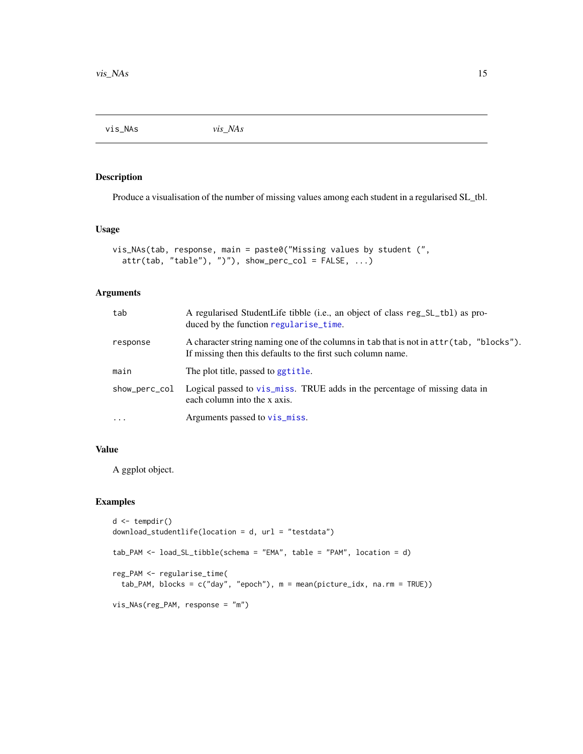<span id="page-14-0"></span>vis\_NAs *vis\_NAs*

# Description

Produce a visualisation of the number of missing values among each student in a regularised SL\_tbl.

#### Usage

```
vis_NAs(tab, response, main = paste0("Missing values by student (",
  attr(tab, "table"), ")"), show_perc_col = FALSE, ...)
```
# Arguments

| tab           | A regularised StudentLife tibble (i.e., an object of class reg_SL_tb1) as pro-<br>duced by the function regularise_time.                                |
|---------------|---------------------------------------------------------------------------------------------------------------------------------------------------------|
| response      | A character string naming one of the columns in tab that is not in attr(tab, "blocks").<br>If missing then this defaults to the first such column name. |
| main          | The plot title, passed to ggtitle.                                                                                                                      |
| show_perc_col | Logical passed to vis_miss. TRUE adds in the percentage of missing data in<br>each column into the x axis.                                              |
| $\ddots$      | Arguments passed to vis_miss.                                                                                                                           |

# Value

A ggplot object.

```
d \leftarrow tempdir()download_studentlife(location = d, url = "testdata")
tab_PAM <- load_SL_tibble(schema = "EMA", table = "PAM", location = d)
reg_PAM <- regularise_time(
  tab_PAM, blocks = c("day", "epoch"), m = mean(picture_idx, na.rm = TRUE))
vis_NAs(reg_PAM, response = "m")
```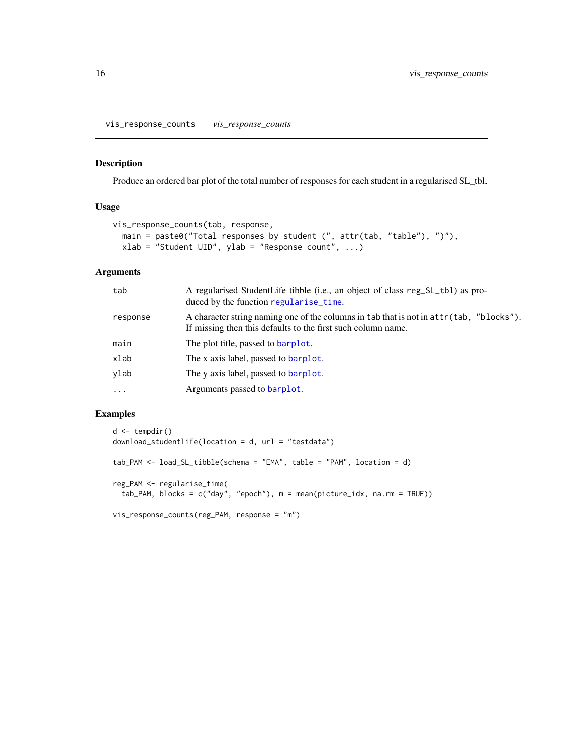<span id="page-15-0"></span>vis\_response\_counts *vis\_response\_counts*

#### Description

Produce an ordered bar plot of the total number of responses for each student in a regularised SL\_tbl.

# Usage

```
vis_response_counts(tab, response,
 main = paste0("Total responses by student (", attr(tab, "table"), ")"),
 xlab = "Student UID", ylab = "Response count", ...)
```
# Arguments

| tab      | A regularised StudentLife tibble (i.e., an object of class reg_SL_tb1) as pro-<br>duced by the function regularise_time.                                |
|----------|---------------------------------------------------------------------------------------------------------------------------------------------------------|
| response | A character string naming one of the columns in tab that is not in attr(tab, "blocks").<br>If missing then this defaults to the first such column name. |
| main     | The plot title, passed to barplot.                                                                                                                      |
| xlab     | The x axis label, passed to barplot.                                                                                                                    |
| ylab     | The y axis label, passed to barplot.                                                                                                                    |
| $\cdots$ | Arguments passed to barplot.                                                                                                                            |

```
d \leftarrow tempdir()download_studentlife(location = d, url = "testdata")
tab_PAM <- load_SL_tibble(schema = "EMA", table = "PAM", location = d)
reg_PAM <- regularise_time(
  tab_PAM, blocks = c("day", "epoch"), m = mean(picture_idx, na.rm = TRUE))
vis_response_counts(reg_PAM, response = "m")
```